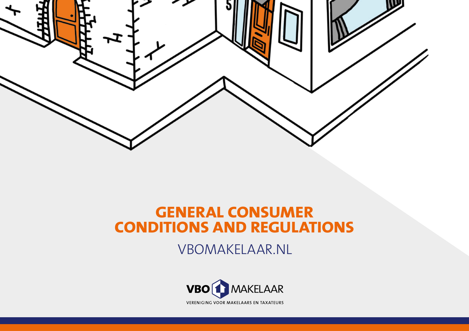

# **GENERAL CONSUMER CONDITIONS AND REGULATIONS**

VBOMAKELAAR.NL

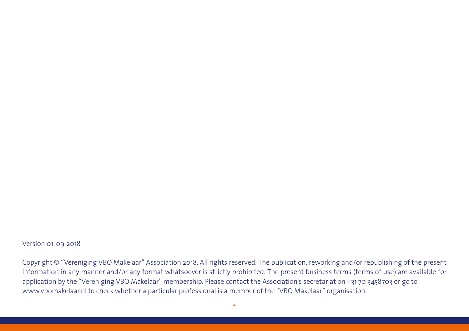### Version 01-09-2018

Copyright © "Vereniging VBO Makelaar" Association 2018. All rights reserved. The publication, reworking and/or republishing of the present information in any manner and/or any format whatsoever is strictly prohibited. The present business terms (terms of use) are available for application by the "Vereniging VBO Makelaar" membership. Please contact the Association's secretariat on +31 70 3458703 or go to www.vbomakelaar.nl to check whether a particular professional is a member of the "VBO Makelaar" organisation.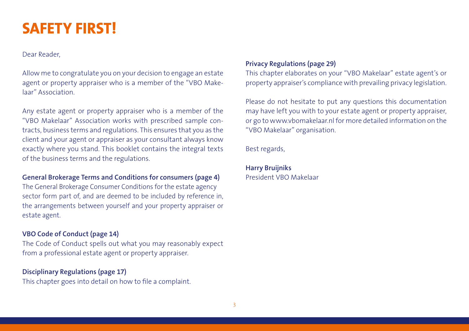# **SAFETY FIRST!**

Dear Reader,

Allow me to congratulate you on your decision to engage an estate agent or property appraiser who is a member of the "VBO Makelaar" Association.

Any estate agent or property appraiser who is a member of the "VBO Makelaar" Association works with prescribed sample contracts, business terms and regulations. This ensures that you as the client and your agent or appraiser as your consultant always know exactly where you stand. This booklet contains the integral texts of the business terms and the regulations.

### **General Brokerage Terms and Conditions for consumers (page 4)**

The General Brokerage Consumer Conditions for the estate agency sector form part of, and are deemed to be included by reference in, the arrangements between yourself and your property appraiser or estate agent.

## **VBO Code of Conduct (page 14)**

The Code of Conduct spells out what you may reasonably expect from a professional estate agent or property appraiser.

### **Disciplinary Regulations (page 17)**

This chapter goes into detail on how to file a complaint.

### **Privacy Regulations (page 29)**

This chapter elaborates on your "VBO Makelaar" estate agent's or property appraiser's compliance with prevailing privacy legislation.

Please do not hesitate to put any questions this documentation may have left you with to your estate agent or property appraiser, or go to www.vbomakelaar.nl for more detailed information on the "VBO Makelaar" organisation.

Best regards,

**Harry Bruijniks** President VBO Makelaar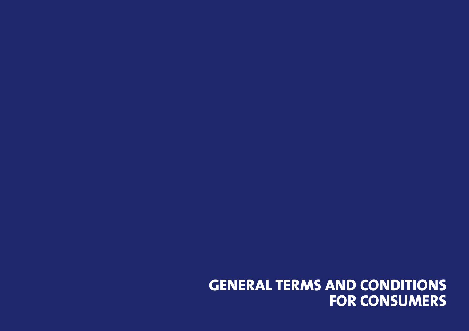# **GENERAL TERMS AND CONDITIONS FOR CONSUMERS**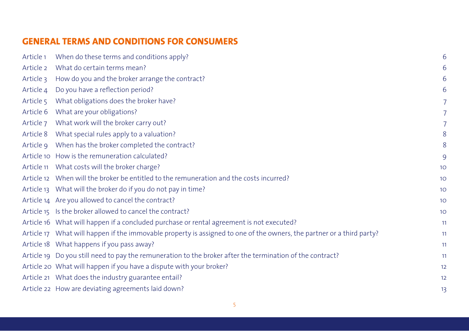# **GENERAL TERMS AND CONDITIONS FOR CONSUMERS**

| When do these terms and conditions apply?                                                                             | 6              |
|-----------------------------------------------------------------------------------------------------------------------|----------------|
| What do certain terms mean?                                                                                           | 6              |
| How do you and the broker arrange the contract?                                                                       | 6              |
| Do you have a reflection period?                                                                                      | 6              |
| What obligations does the broker have?                                                                                |                |
| What are your obligations?                                                                                            |                |
| What work will the broker carry out?                                                                                  |                |
| What special rules apply to a valuation?                                                                              | 8              |
| When has the broker completed the contract?                                                                           | 8              |
| Article 10 How is the remuneration calculated?                                                                        | 9              |
| Article 11 What costs will the broker charge?                                                                         | 1 <sup>C</sup> |
| Article 12 When will the broker be entitled to the remuneration and the costs incurred?                               | 1 <sup>C</sup> |
| Article 13 What will the broker do if you do not pay in time?                                                         | 1 <sup>C</sup> |
| Article 14 Are you allowed to cancel the contract?                                                                    | 1 <sup>C</sup> |
| Article 15 Is the broker allowed to cancel the contract?                                                              | 1 <sup>C</sup> |
| Article 16 What will happen if a concluded purchase or rental agreement is not executed?                              | 11             |
| Article 17 What will happen if the immovable property is assigned to one of the owners, the partner or a third party? | 11             |
| Article 18 What happens if you pass away?                                                                             | 11             |
| Article 19 Do you still need to pay the remuneration to the broker after the termination of the contract?             | 11             |
| Article 20 What will happen if you have a dispute with your broker?                                                   | 12             |
| Article 21 What does the industry guarantee entail?                                                                   | 12             |
| Article 22 How are deviating agreements laid down?                                                                    | 1 <sup>3</sup> |
|                                                                                                                       |                |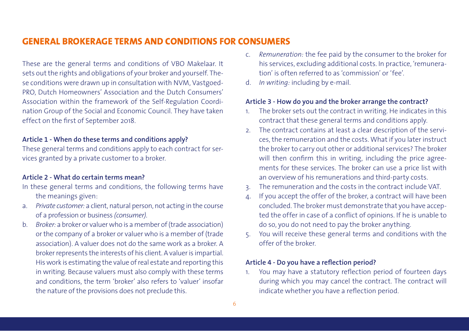# **GENERAL BROKERAGE TERMS AND CONDITIONS FOR CONSUMERS**

These are the general terms and conditions of VBO Makelaar. It sets out the rights and obligations of your broker and yourself. These conditions were drawn up in consultation with NVM, Vastgoed-PRO, Dutch Homeowners' Association and the Dutch Consumers' Association within the framework of the Self-Regulation Coordination Group of the Social and Economic Council. They have taken effect on the first of September 2018.

### **Article 1 - When do these terms and conditions apply?**

These general terms and conditions apply to each contract for services granted by a private customer to a broker.

### **Article 2 - What do certain terms mean?**

- In these general terms and conditions, the following terms have the meanings given:
- a. *Private customer:* a client, natural person, not acting in the course of a profession or business *(consumer).*
- b. *Broker:* a broker or valuer who is a member of (trade association) or the company of a broker or valuer who is a member of (trade association). A valuer does not do the same work as a broker. A broker represents the interests of his client. A valuer is impartial. His work is estimating the value of real estate and reporting this in writing. Because valuers must also comply with these terms and conditions, the term 'broker' also refers to 'valuer' insofar the nature of the provisions does not preclude this.
- c. *Remuneration:* the fee paid by the consumer to the broker for his services, excluding additional costs. In practice, 'remuneration' is often referred to as 'commission' or 'fee'.
- d. *In writing:* including by e-mail.

#### **Article 3 - How do you and the broker arrange the contract?**

- 1. The broker sets out the contract in writing. He indicates in this contract that these general terms and conditions apply.
- 2. The contract contains at least a clear description of the services, the remuneration and the costs. What if you later instruct the broker to carry out other or additional services? The broker will then confirm this in writing, including the price agreements for these services. The broker can use a price list with an overview of his remunerations and third-party costs.
- 3. The remuneration and the costs in the contract include VAT.
- 4. If you accept the offer of the broker, a contract will have been concluded. The broker must demonstrate that you have accepted the offer in case of a conflict of opinions. If he is unable to do so, you do not need to pay the broker anything.
- 5. You will receive these general terms and conditions with the offer of the broker.

### **Article 4 - Do you have a reflection period?**

1. You may have a statutory reflection period of fourteen days during which you may cancel the contract. The contract will indicate whether you have a reflection period.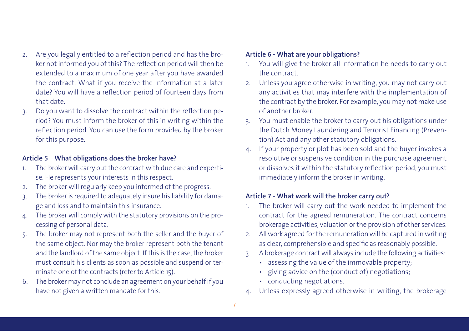- 2. Are you legally entitled to a reflection period and has the broker not informed you of this? The reflection period will then be extended to a maximum of one year after you have awarded the contract. What if you receive the information at a later date? You will have a reflection period of fourteen days from that date.
- 3. Do you want to dissolve the contract within the reflection period? You must inform the broker of this in writing within the reflection period. You can use the form provided by the broker for this purpose.

### **Article 5 What obligations does the broker have?**

- 1. The broker will carry out the contract with due care and expertise. He represents your interests in this respect.
- 2. The broker will regularly keep you informed of the progress.
- 3. The broker is required to adequately insure his liability for damage and loss and to maintain this insurance.
- 4. The broker will comply with the statutory provisions on the processing of personal data.
- 5. The broker may not represent both the seller and the buyer of the same object. Nor may the broker represent both the tenant and the landlord of the same object. If this is the case, the broker must consult his clients as soon as possible and suspend or terminate one of the contracts (refer to Article 15).
- 6. The broker may not conclude an agreement on your behalf if you have not given a written mandate for this.

### **Article 6 - What are your obligations?**

- 1. You will give the broker all information he needs to carry out the contract.
- 2. Unless you agree otherwise in writing, you may not carry out any activities that may interfere with the implementation of the contract by the broker. For example, you may not make use of another broker.
- 3. You must enable the broker to carry out his obligations under the Dutch Money Laundering and Terrorist Financing (Prevention) Act and any other statutory obligations.
- 4. If your property or plot has been sold and the buyer invokes a resolutive or suspensive condition in the purchase agreement or dissolves it within the statutory reflection period, you must immediately inform the broker in writing.

### **Article 7 - What work will the broker carry out?**

- 1. The broker will carry out the work needed to implement the contract for the agreed remuneration. The contract concerns brokerage activities, valuation or the provision of other services.
- 2. All work agreed for the remuneration will be captured in writing as clear, comprehensible and specific as reasonably possible.
- 3. A brokerage contract will always include the following activities:
	- assessing the value of the immovable property;
	- giving advice on the (conduct of) negotiations;
	- conducting negotiations.
- 4. Unless expressly agreed otherwise in writing, the brokerage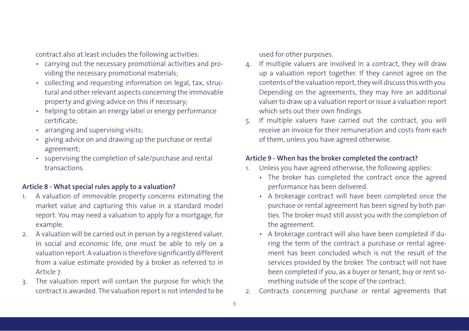contract also at least includes the following activities:

- carrying out the necessary promotional activities and providing the necessary promotional materials;
- collecting and requesting information on legal, tax, structural and other relevant aspects concerning the immovable property and giving advice on this if necessary;
- helping to obtain an energy label or energy performance certificate;
- arranging and supervising visits;
- giving advice on and drawing up the purchase or rental agreement;
- supervising the completion of sale/purchase and rental transactions.

### **Article 8 - What special rules apply to a valuation?**

- 1. A valuation of immovable property concerns estimating the market value and capturing this value in a standard model report. You may need a valuation to apply for a mortgage, for example.
- 2. A valuation will be carried out in person by a registered valuer. In social and economic life, one must be able to rely on a valuation report. A valuation is therefore significantly different from a value estimate provided by a broker as referred to in Article 7.
- 3. The valuation report will contain the purpose for which the contract is awarded. The valuation report is not intended to be

used for other purposes.

- If multiple valuers are involved in a contract, they will draw up a valuation report together. If they cannot agree on the contents of the valuation report, they will discuss this with you. Depending on the agreements, they may hire an additional valuer to draw up a valuation report or issue a valuation report which sets out their own findings.
- 5. If multiple valuers have carried out the contract, you will receive an invoice for their remuneration and costs from each of them, unless you have agreed otherwise.

### **Article 9 - When has the broker completed the contract?**

- 1. Unless you have agreed otherwise, the following applies:
	- The broker has completed the contract once the agreed performance has been delivered.
	- A brokerage contract will have been completed once the purchase or rental agreement has been signed by both parties. The broker must still assist you with the completion of the agreement.
	- A brokerage contract will also have been completed if during the term of the contract a purchase or rental agreement has been concluded which is not the result of the services provided by the broker. The contract will not have been completed if you, as a buyer or tenant, buy or rent something outside of the scope of the contract.
- 2. Contracts concerning purchase or rental agreements that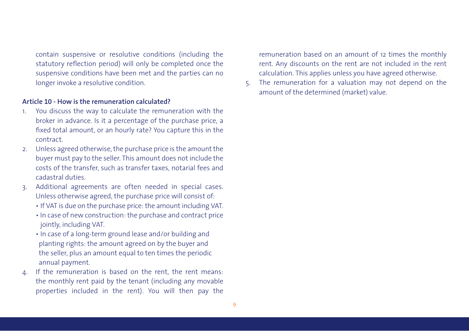contain suspensive or resolutive conditions (including the statutory reflection period) will only be completed once the suspensive conditions have been met and the parties can no longer invoke a resolutive condition.

### **Article 10 - How is the remuneration calculated?**

- 1. You discuss the way to calculate the remuneration with the broker in advance. Is it a percentage of the purchase price, a fixed total amount, or an hourly rate? You capture this in the contract.
- 2. Unless agreed otherwise, the purchase price is the amount the buyer must pay to the seller. This amount does not include the costs of the transfer, such as transfer taxes, notarial fees and cadastral duties.
- 3. Additional agreements are often needed in special cases. Unless otherwise agreed, the purchase price will consist of:
	- If VAT is due on the purchase price: the amount including VAT.
	- In case of new construction: the purchase and contract price jointly, including VAT.
	- In case of a long-term ground lease and/or building and planting rights: the amount agreed on by the buyer and the seller, plus an amount equal to ten times the periodic annual payment.
- 4. If the remuneration is based on the rent, the rent means: the monthly rent paid by the tenant (including any movable properties included in the rent). You will then pay the

remuneration based on an amount of 12 times the monthly rent. Any discounts on the rent are not included in the rent calculation. This applies unless you have agreed otherwise.

5. The remuneration for a valuation may not depend on the amount of the determined (market) value.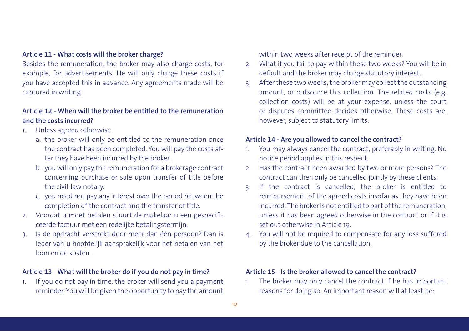### **Article 11 - What costs will the broker charge?**

Besides the remuneration, the broker may also charge costs, for example, for advertisements. He will only charge these costs if you have accepted this in advance. Any agreements made will be captured in writing.

## **Article 12 - When will the broker be entitled to the remuneration and the costs incurred?**

- 1. Unless agreed otherwise:
	- a. the broker will only be entitled to the remuneration once the contract has been completed. You will pay the costs after they have been incurred by the broker.
	- b. you will only pay the remuneration for a brokerage contract concerning purchase or sale upon transfer of title before the civil-law notary.
	- c. you need not pay any interest over the period between the completion of the contract and the transfer of title.
- 2. Voordat u moet betalen stuurt de makelaar u een gespecificeerde factuur met een redelijke betalingstermijn.
- 3. Is de opdracht verstrekt door meer dan één persoon? Dan is ieder van u hoofdelijk aansprakelijk voor het betalen van het loon en de kosten.

### **Article 13 - What will the broker do if you do not pay in time?**

1. If you do not pay in time, the broker will send you a payment reminder. You will be given the opportunity to pay the amount within two weeks after receipt of the reminder.

- 2. What if you fail to pay within these two weeks? You will be in default and the broker may charge statutory interest.
- 3. After these two weeks, the broker may collect the outstanding amount, or outsource this collection. The related costs (e.g. collection costs) will be at your expense, unless the court or disputes committee decides otherwise. These costs are, however, subject to statutory limits.

#### **Article 14 - Are you allowed to cancel the contract?**

- 1. You may always cancel the contract, preferably in writing. No notice period applies in this respect.
- 2. Has the contract been awarded by two or more persons? The contract can then only be cancelled jointly by these clients.
- 3. If the contract is cancelled, the broker is entitled to reimbursement of the agreed costs insofar as they have been incurred. The broker is not entitled to part of the remuneration, unless it has been agreed otherwise in the contract or if it is set out otherwise in Article 19.
- 4. You will not be required to compensate for any loss suffered by the broker due to the cancellation.

### **Article 15 - Is the broker allowed to cancel the contract?**

1. The broker may only cancel the contract if he has important reasons for doing so. An important reason will at least be: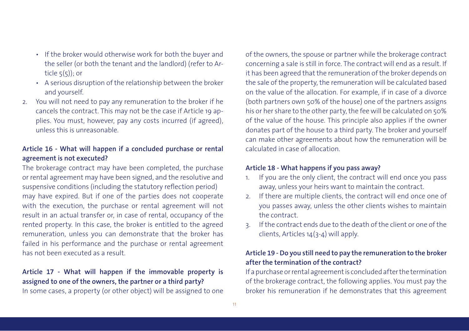- If the broker would otherwise work for both the buyer and the seller (or both the tenant and the landlord) (refer to Article  $5(5)$ ; or
- A serious disruption of the relationship between the broker and yourself.
- 2. You will not need to pay any remuneration to the broker if he cancels the contract. This may not be the case if Article 19 applies. You must, however, pay any costs incurred (if agreed), unless this is unreasonable.

## **Article 16 - What will happen if a concluded purchase or rental agreement is not executed?**

The brokerage contract may have been completed, the purchase or rental agreement may have been signed, and the resolutive and suspensive conditions (including the statutory reflection period) may have expired. But if one of the parties does not cooperate with the execution, the purchase or rental agreement will not result in an actual transfer or, in case of rental, occupancy of the rented property. In this case, the broker is entitled to the agreed remuneration, unless you can demonstrate that the broker has failed in his performance and the purchase or rental agreement has not been executed as a result.

# **Article 17 - What will happen if the immovable property is assigned to one of the owners, the partner or a third party?**

In some cases, a property (or other object) will be assigned to one

of the owners, the spouse or partner while the brokerage contract concerning a sale is still in force. The contract will end as a result. If it has been agreed that the remuneration of the broker depends on the sale of the property, the remuneration will be calculated based on the value of the allocation. For example, if in case of a divorce (both partners own 50% of the house) one of the partners assigns his or her share to the other party, the fee will be calculated on 50% of the value of the house. This principle also applies if the owner donates part of the house to a third party. The broker and yourself can make other agreements about how the remuneration will be calculated in case of allocation.

## **Article 18 - What happens if you pass away?**

- 1. If you are the only client, the contract will end once you pass away, unless your heirs want to maintain the contract.
- 2. If there are multiple clients, the contract will end once one of you passes away, unless the other clients wishes to maintain the contract.
- 3. If the contract ends due to the death of the client or one of the clients, Articles 14(3-4) will apply.

## **Article 19 - Do you still need to pay the remuneration to the broker after the termination of the contract?**

If a purchase or rental agreement is concluded after the termination of the brokerage contract, the following applies. You must pay the broker his remuneration if he demonstrates that this agreement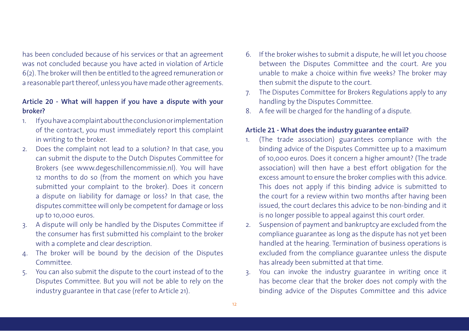has been concluded because of his services or that an agreement was not concluded because you have acted in violation of Article 6(2). The broker will then be entitled to the agreed remuneration or a reasonable part thereof, unless you have made other agreements.

### **Article 20 - What will happen if you have a dispute with your broker?**

- 1. If you have a complaint about the conclusion or implementation of the contract, you must immediately report this complaint in writing to the broker.
- 2. Does the complaint not lead to a solution? In that case, you can submit the dispute to the Dutch Disputes Committee for Brokers (see www.degeschillencommissie.nl). You will have 12 months to do so (from the moment on which you have submitted your complaint to the broker). Does it concern a dispute on liability for damage or loss? In that case, the disputes committee will only be competent for damage or loss up to 10,000 euros.
- 3. A dispute will only be handled by the Disputes Committee if the consumer has first submitted his complaint to the broker with a complete and clear description.
- 4. The broker will be bound by the decision of the Disputes Committee.
- 5. You can also submit the dispute to the court instead of to the Disputes Committee. But you will not be able to rely on the industry guarantee in that case (refer to Article 21).
- 6. If the broker wishes to submit a dispute, he will let you choose between the Disputes Committee and the court. Are you unable to make a choice within five weeks? The broker may then submit the dispute to the court.
- 7. The Disputes Committee for Brokers Regulations apply to any handling by the Disputes Committee.
- 8. A fee will be charged for the handling of a dispute.

### **Article 21 - What does the industry guarantee entail?**

- 1. (The trade association) guarantees compliance with the binding advice of the Disputes Committee up to a maximum of 10,000 euros. Does it concern a higher amount? (The trade association) will then have a best effort obligation for the excess amount to ensure the broker complies with this advice. This does not apply if this binding advice is submitted to the court for a review within two months after having been issued, the court declares this advice to be non-binding and it is no longer possible to appeal against this court order.
- 2. Suspension of payment and bankruptcy are excluded from the compliance guarantee as long as the dispute has not yet been handled at the hearing. Termination of business operations is excluded from the compliance guarantee unless the dispute has already been submitted at that time.
- 3. You can invoke the industry guarantee in writing once it has become clear that the broker does not comply with the binding advice of the Disputes Committee and this advice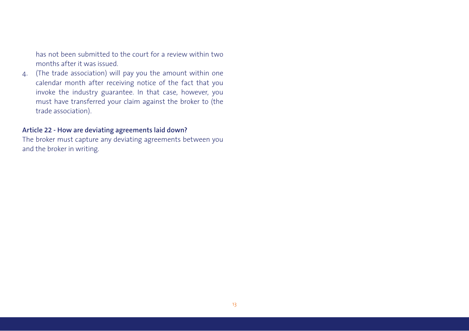has not been submitted to the court for a review within two months after it was issued.

4. (The trade association) will pay you the amount within one calendar month after receiving notice of the fact that you invoke the industry guarantee. In that case, however, you must have transferred your claim against the broker to (the trade association).

### **Article 22 - How are deviating agreements laid down?**

The broker must capture any deviating agreements between you and the broker in writing.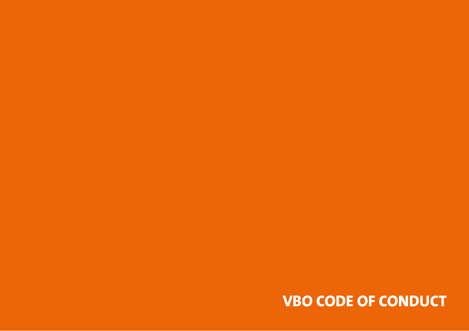# **VBO CODE OF CONDUCT**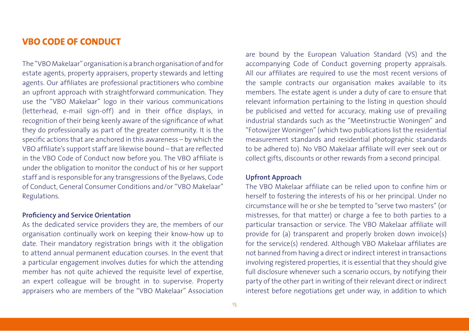## **VBO CODE OF CONDUCT**

The "VBO Makelaar" organisation is a branch organisation of and for estate agents, property appraisers, property stewards and letting agents. Our affiliates are professional practitioners who combine an upfront approach with straightforward communication. They use the "VBO Makelaar" logo in their various communications (letterhead, e-mail sign-off) and in their office displays, in recognition of their being keenly aware of the significance of what they do professionally as part of the greater community. It is the specific actions that are anchored in this awareness – by which the VBO affiliate's support staff are likewise bound – that are reflected in the VBO Code of Conduct now before you. The VBO affiliate is under the obligation to monitor the conduct of his or her support staff and is responsible for any transgressions of the Byelaws, Code of Conduct, General Consumer Conditions and/or "VBO Makelaar" Regulations.

## **Proficiency and Service Orientation**

As the dedicated service providers they are, the members of our organisation continually work on keeping their know-how up to date. Their mandatory registration brings with it the obligation to attend annual permanent education courses. In the event that a particular engagement involves duties for which the attending member has not quite achieved the requisite level of expertise, an expert colleague will be brought in to supervise. Property appraisers who are members of the "VBO Makelaar" Association

are bound by the European Valuation Standard (VS) and the accompanying Code of Conduct governing property appraisals. All our affiliates are required to use the most recent versions of the sample contracts our organisation makes available to its members. The estate agent is under a duty of care to ensure that relevant information pertaining to the listing in question should be publicised and vetted for accuracy, making use of prevailing industrial standards such as the "Meetinstructie Woningen" and "Fotowijzer Woningen" (which two publications list the residential measurement standards and residential photographic standards to be adhered to). No VBO Makelaar affiliate will ever seek out or collect gifts, discounts or other rewards from a second principal.

### **Upfront Approach**

The VBO Makelaar affiliate can be relied upon to confine him or herself to fostering the interests of his or her principal. Under no circumstance will he or she be tempted to "serve two masters" (or mistresses, for that matter) or charge a fee to both parties to a particular transaction or service. The VBO Makelaar affiliate will provide for (a) transparent and properly broken down invoice(s) for the service(s) rendered. Although VBO Makelaar affiliates are not banned from having a direct or indirect interest in transactions involving registered properties, it is essential that they should give full disclosure whenever such a scenario occurs, by notifying their party of the other part in writing of their relevant direct or indirect interest before negotiations get under way, in addition to which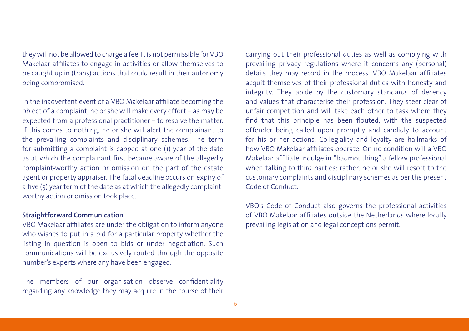they will not be allowed to charge a fee. It is not permissible for VBO Makelaar affiliates to engage in activities or allow themselves to be caught up in (trans) actions that could result in their autonomy being compromised.

In the inadvertent event of a VBO Makelaar affiliate becoming the object of a complaint, he or she will make every effort – as may be expected from a professional practitioner – to resolve the matter. If this comes to nothing, he or she will alert the complainant to the prevailing complaints and disciplinary schemes. The term for submitting a complaint is capped at one (1) year of the date as at which the complainant first became aware of the allegedly complaint-worthy action or omission on the part of the estate agent or property appraiser. The fatal deadline occurs on expiry of a five (5) year term of the date as at which the allegedly complaintworthy action or omission took place.

### **Straightforward Communication**

VBO Makelaar affiliates are under the obligation to inform anyone who wishes to put in a bid for a particular property whether the listing in question is open to bids or under negotiation. Such communications will be exclusively routed through the opposite number's experts where any have been engaged.

The members of our organisation observe confidentiality regarding any knowledge they may acquire in the course of their carrying out their professional duties as well as complying with prevailing privacy regulations where it concerns any (personal) details they may record in the process. VBO Makelaar affiliates acquit themselves of their professional duties with honesty and integrity. They abide by the customary standards of decency and values that characterise their profession. They steer clear of unfair competition and will take each other to task where they find that this principle has been flouted, with the suspected offender being called upon promptly and candidly to account for his or her actions. Collegiality and loyalty are hallmarks of how VBO Makelaar affiliates operate. On no condition will a VBO Makelaar affiliate indulge in "badmouthing" a fellow professional when talking to third parties: rather, he or she will resort to the customary complaints and disciplinary schemes as per the present Code of Conduct.

VBO's Code of Conduct also governs the professional activities of VBO Makelaar affiliates outside the Netherlands where locally prevailing legislation and legal conceptions permit.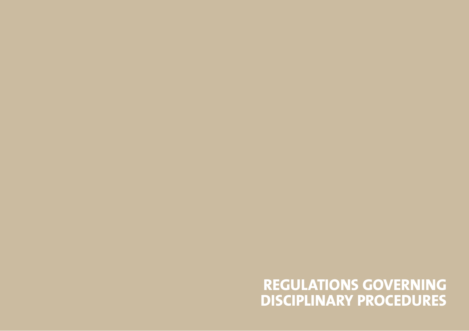# **REGULATIONS GOVERNING DISCIPLINARY PROCEDURES**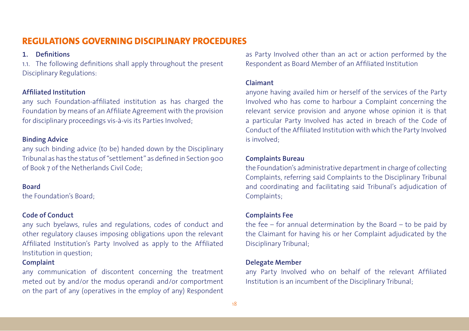# **REGULATIONS GOVERNING DISCIPLINARY PROCEDURES**

### **1. Definitions**

1.1. The following definitions shall apply throughout the present Disciplinary Regulations:

### **Affiliated Institution**

any such Foundation-affiliated institution as has charged the Foundation by means of an Affiliate Agreement with the provision for disciplinary proceedings vis-à-vis its Parties Involved;

### **Binding Advice**

any such binding advice (to be) handed down by the Disciplinary Tribunal as has the status of "settlement" as defined in Section 900 of Book 7 of the Netherlands Civil Code;

### **Board**

the Foundation's Board;

### **Code of Conduct**

any such byelaws, rules and regulations, codes of conduct and other regulatory clauses imposing obligations upon the relevant Affiliated Institution's Party Involved as apply to the Affiliated Institution in question;

### **Complaint**

any communication of discontent concerning the treatment meted out by and/or the modus operandi and/or comportment on the part of any (operatives in the employ of any) Respondent as Party Involved other than an act or action performed by the Respondent as Board Member of an Affiliated Institution

### **Claimant**

anyone having availed him or herself of the services of the Party Involved who has come to harbour a Complaint concerning the relevant service provision and anyone whose opinion it is that a particular Party Involved has acted in breach of the Code of Conduct of the Affiliated Institution with which the Party Involved is involved;

#### **Complaints Bureau**

the Foundation's administrative department in charge of collecting Complaints, referring said Complaints to the Disciplinary Tribunal and coordinating and facilitating said Tribunal's adjudication of Complaints;

### **Complaints Fee**

the fee – for annual determination by the Board – to be paid by the Claimant for having his or her Complaint adjudicated by the Disciplinary Tribunal;

### **Delegate Member**

any Party Involved who on behalf of the relevant Affiliated Institution is an incumbent of the Disciplinary Tribunal;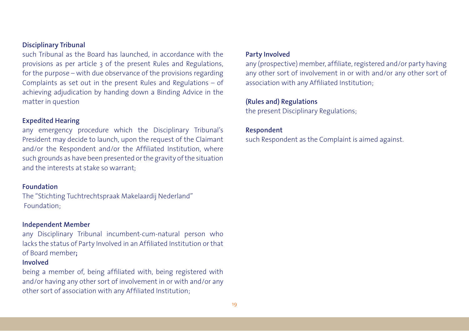### **Disciplinary Tribunal**

such Tribunal as the Board has launched, in accordance with the provisions as per article 3 of the present Rules and Regulations, for the purpose – with due observance of the provisions regarding Complaints as set out in the present Rules and Regulations – of achieving adjudication by handing down a Binding Advice in the matter in question

### **Expedited Hearing**

any emergency procedure which the Disciplinary Tribunal's President may decide to launch, upon the request of the Claimant and/or the Respondent and/or the Affiliated Institution, where such grounds as have been presented or the gravity of the situation and the interests at stake so warrant;

### **Foundation**

The "Stichting Tuchtrechtspraak Makelaardij Nederland" Foundation;

### **Independent Member**

any Disciplinary Tribunal incumbent-cum-natural person who lacks the status of Party Involved in an Affiliated Institution or that of Board member**;**

### **Involved**

being a member of, being affiliated with, being registered with and/or having any other sort of involvement in or with and/or any other sort of association with any Affiliated Institution;

### **Party Involved**

any (prospective) member, affiliate, registered and/or party having any other sort of involvement in or with and/or any other sort of association with any Affiliated Institution;

### **(Rules and) Regulations**

the present Disciplinary Regulations;

#### **Respondent**

such Respondent as the Complaint is aimed against.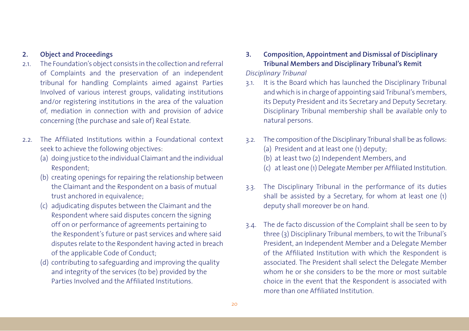### **2. Object and Proceedings**

- 2.1. The Foundation's object consists in the collection and referral of Complaints and the preservation of an independent tribunal for handling Complaints aimed against Parties Involved of various interest groups, validating institutions and/or registering institutions in the area of the valuation of, mediation in connection with and provision of advice concerning (the purchase and sale of) Real Estate.
- 2.2. The Affiliated Institutions within a Foundational context seek to achieve the following objectives:
	- (a) doing justice to the individual Claimant and the individual Respondent;
	- (b) creating openings for repairing the relationship between the Claimant and the Respondent on a basis of mutual trust anchored in equivalence;
	- (c) adjudicating disputes between the Claimant and the Respondent where said disputes concern the signing off on or performance of agreements pertaining to the Respondent's future or past services and where said disputes relate to the Respondent having acted in breach of the applicable Code of Conduct;
	- (d) contributing to safeguarding and improving the quality and integrity of the services (to be) provided by the Parties Involved and the Affiliated Institutions.
- **3. Composition, Appointment and Dismissal of Disciplinary Tribunal Members and Disciplinary Tribunal's Remit** *Disciplinary Tribunal*
- 3.1. It is the Board which has launched the Disciplinary Tribunal and which is in charge of appointing said Tribunal's members, its Deputy President and its Secretary and Deputy Secretary. Disciplinary Tribunal membership shall be available only to natural persons.
- 3.2. The composition of the Disciplinary Tribunal shall be as follows:
	- (a) President and at least one (1) deputy;
	- (b) at least two (2) Independent Members, and
	- (c) at least one (1) Delegate Member per Affiliated Institution.
- 3.3. The Disciplinary Tribunal in the performance of its duties shall be assisted by a Secretary, for whom at least one (1) deputy shall moreover be on hand.
- 3.4. The de facto discussion of the Complaint shall be seen to by three (3) Disciplinary Tribunal members, to wit the Tribunal's President, an Independent Member and a Delegate Member of the Affiliated Institution with which the Respondent is associated. The President shall select the Delegate Member whom he or she considers to be the more or most suitable choice in the event that the Respondent is associated with more than one Affiliated Institution.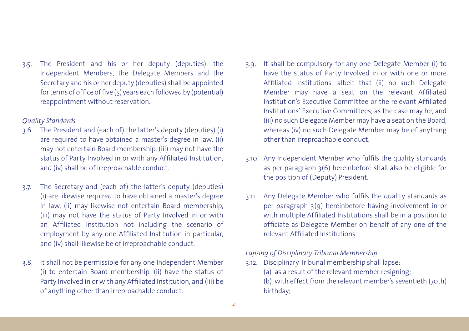3.5. The President and his or her deputy (deputies), the Independent Members, the Delegate Members and the Secretary and his or her deputy (deputies) shall be appointed for terms of office of five (5) years each followed by (potential) reappointment without reservation.

### *Quality Standards*

- 3.6. The President and (each of) the latter's deputy (deputies) (i) are required to have obtained a master's degree in law, (ii) may not entertain Board membership, (iii) may not have the status of Party Involved in or with any Affiliated Institution, and (iv) shall be of irreproachable conduct.
- 3.7. The Secretary and (each of) the latter's deputy (deputies) (i) are likewise required to have obtained a master's degree in law, (ii) may likewise not entertain Board membership, (iii) may not have the status of Party Involved in or with an Affiliated Institution not including the scenario of employment by any one Affiliated Institution in particular, and (iv) shall likewise be of irreproachable conduct.
- 3.8. It shall not be permissible for any one Independent Member (i) to entertain Board membership, (ii) have the status of Party Involved in or with any Affiliated Institution, and (iii) be of anything other than irreproachable conduct.
- 3.9. It shall be compulsory for any one Delegate Member (i) to have the status of Party Involved in or with one or more Affiliated Institutions, albeit that (ii) no such Delegate Member may have a seat on the relevant Affiliated Institution's Executive Committee or the relevant Affiliated Institutions' Executive Committees, as the case may be, and (iii) no such Delegate Member may have a seat on the Board, whereas (iv) no such Delegate Member may be of anything other than irreproachable conduct.
- 3.10. Any Independent Member who fulfils the quality standards as per paragraph 3(6) hereinbefore shall also be eligible for the position of (Deputy) President.
- 3.11. Any Delegate Member who fulfils the quality standards as per paragraph 3(9) hereinbefore having involvement in or with multiple Affiliated Institutions shall be in a position to officiate as Delegate Member on behalf of any one of the relevant Affiliated Institutions.

*Lapsing of Disciplinary Tribunal Membership*

3.12. Disciplinary Tribunal membership shall lapse:

(a) as a result of the relevant member resigning;

(b) with effect from the relevant member's seventieth (70th) birthday;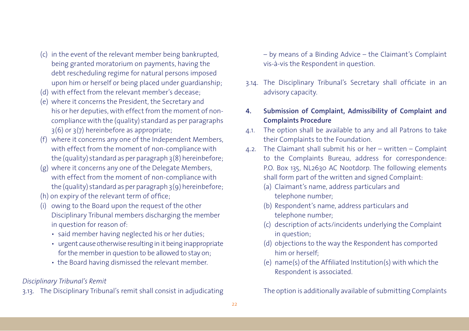- (c) in the event of the relevant member being bankrupted, being granted moratorium on payments, having the debt rescheduling regime for natural persons imposed upon him or herself or being placed under guardianship;
- (d) with effect from the relevant member's decease;
- (e) where it concerns the President, the Secretary and his or her deputies, with effect from the moment of non compliance with the (quality) standard as per paragraphs 3(6) or 3(7) hereinbefore as appropriate;
- (f) where it concerns any one of the Independent Members, with effect from the moment of non-compliance with the (quality) standard as per paragraph 3(8) hereinbefore;
- (g) where it concerns any one of the Delegate Members, with effect from the moment of non-compliance with the (quality) standard as per paragraph  $3(9)$  hereinbefore;
- (h) on expiry of the relevant term of office;
- (i) owing to the Board upon the request of the other Disciplinary Tribunal members discharging the member in question for reason of:
	- said member having neglected his or her duties;
	- urgent cause otherwise resulting in it being inappropriate for the member in question to be allowed to stay on;
	- the Board having dismissed the relevant member.

## *Disciplinary Tribunal's Remit*

3.13. The Disciplinary Tribunal's remit shall consist in adjudicating

– by means of a Binding Advice – the Claimant's Complaint vis-à-vis the Respondent in question.

- 3.14. The Disciplinary Tribunal's Secretary shall officiate in an advisory capacity.
- **4. Submission of Complaint, Admissibility of Complaint and Complaints Procedure**
- 4.1. The option shall be available to any and all Patrons to take their Complaints to the Foundation.
- 4.2. The Claimant shall submit his or her written Complaint to the Complaints Bureau, address for correspondence: P.O. Box 135, NL2630 AC Nootdorp. The following elements shall form part of the written and signed Complaint:
	- (a) Claimant's name, address particulars and telephone number;
	- (b) Respondent's name, address particulars and telephone number;
	- (c) description of acts/incidents underlying the Complaint in question;
	- (d) objections to the way the Respondent has comported him or herself;
	- (e) name(s) of the Affiliated Institution(s) with which the Respondent is associated.

The option is additionally available of submitting Complaints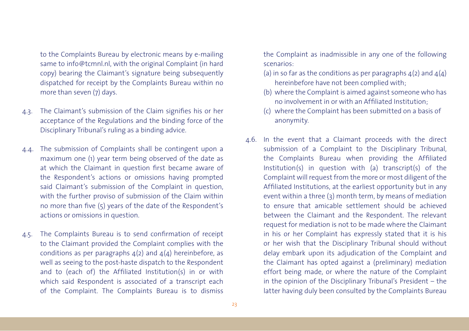to the Complaints Bureau by electronic means by e-mailing same to info@tcmnl.nl, with the original Complaint (in hard copy) bearing the Claimant's signature being subsequently dispatched for receipt by the Complaints Bureau within no more than seven (7) days.

- 4.3. The Claimant's submission of the Claim signifies his or her acceptance of the Regulations and the binding force of the Disciplinary Tribunal's ruling as a binding advice.
- 4.4. The submission of Complaints shall be contingent upon a maximum one (1) year term being observed of the date as at which the Claimant in question first became aware of the Respondent's actions or omissions having prompted said Claimant's submission of the Complaint in question, with the further proviso of submission of the Claim within no more than five (5) years of the date of the Respondent's actions or omissions in question.
- 4.5. The Complaints Bureau is to send confirmation of receipt to the Claimant provided the Complaint complies with the conditions as per paragraphs  $4(2)$  and  $4(4)$  hereinbefore, as well as seeing to the post-haste dispatch to the Respondent and to (each of) the Affiliated Institution(s) in or with which said Respondent is associated of a transcript each of the Complaint. The Complaints Bureau is to dismiss

the Complaint as inadmissible in any one of the following scenarios:

- (a) in so far as the conditions as per paragraphs  $4(2)$  and  $4(4)$ hereinbefore have not been complied with;
- (b) where the Complaint is aimed against someone who has no involvement in or with an Affiliated Institution;
- (c) where the Complaint has been submitted on a basis of anonymity.
- 4.6. In the event that a Claimant proceeds with the direct submission of a Complaint to the Disciplinary Tribunal, the Complaints Bureau when providing the Affiliated Institution(s) in question with (a) transcript(s) of the Complaint will request from the more or most diligent of the Affiliated Institutions, at the earliest opportunity but in any event within a three (3) month term, by means of mediation to ensure that amicable settlement should be achieved between the Claimant and the Respondent. The relevant request for mediation is not to be made where the Claimant in his or her Complaint has expressly stated that it is his or her wish that the Disciplinary Tribunal should without delay embark upon its adjudication of the Complaint and the Claimant has opted against a (preliminary) mediation effort being made, or where the nature of the Complaint in the opinion of the Disciplinary Tribunal's President – the latter having duly been consulted by the Complaints Bureau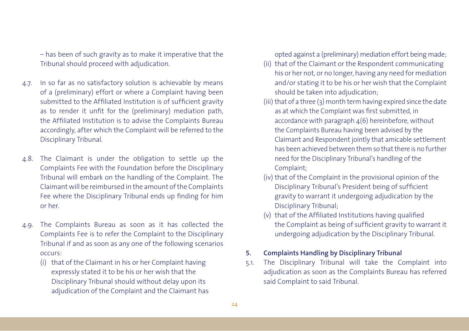– has been of such gravity as to make it imperative that the Tribunal should proceed with adjudication.

- 4.7. In so far as no satisfactory solution is achievable by means of a (preliminary) effort or where a Complaint having been submitted to the Affiliated Institution is of sufficient gravity as to render it unfit for the (preliminary) mediation path, the Affiliated Institution is to advise the Complaints Bureau accordingly, after which the Complaint will be referred to the Disciplinary Tribunal.
- 4.8. The Claimant is under the obligation to settle up the Complaints Fee with the Foundation before the Disciplinary Tribunal will embark on the handling of the Complaint. The Claimant will be reimbursed in the amount of the Complaints Fee where the Disciplinary Tribunal ends up finding for him or her.
- 4.9. The Complaints Bureau as soon as it has collected the Complaints Fee is to refer the Complaint to the Disciplinary Tribunal if and as soon as any one of the following scenarios occurs:
	- (i) that of the Claimant in his or her Complaint having expressly stated it to be his or her wish that the Disciplinary Tribunal should without delay upon its adjudication of the Complaint and the Claimant has

opted against a (preliminary) mediation effort being made;

- (ii) that of the Claimant or the Respondent communicating his or her not, or no longer, having any need for mediation and/or stating it to be his or her wish that the Complaint should be taken into adjudication;
- (iii) that of a three (3) month term having expired since the date as at which the Complaint was first submitted, in accordance with paragraph  $4(6)$  hereinbefore, without the Complaints Bureau having been advised by the Claimant and Respondent jointly that amicable settlement has been achieved between them so that there is no further need for the Disciplinary Tribunal's handling of the Complaint;
- (iv) that of the Complaint in the provisional opinion of the Disciplinary Tribunal's President being of sufficient gravity to warrant it undergoing adjudication by the Disciplinary Tribunal;
- (v) that of the Affiliated Institutions having qualified the Complaint as being of sufficient gravity to warrant it undergoing adjudication by the Disciplinary Tribunal.

### **5. Complaints Handling by Disciplinary Tribunal**

5.1. The Disciplinary Tribunal will take the Complaint into adjudication as soon as the Complaints Bureau has referred said Complaint to said Tribunal.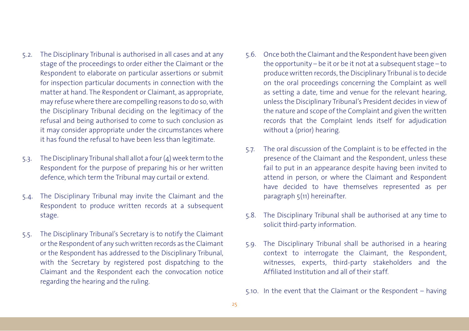- 5.2. The Disciplinary Tribunal is authorised in all cases and at any stage of the proceedings to order either the Claimant or the Respondent to elaborate on particular assertions or submit for inspection particular documents in connection with the matter at hand. The Respondent or Claimant, as appropriate, may refuse where there are compelling reasons to do so, with the Disciplinary Tribunal deciding on the legitimacy of the refusal and being authorised to come to such conclusion as it may consider appropriate under the circumstances where it has found the refusal to have been less than legitimate.
- 5.3. The Disciplinary Tribunal shall allot a four (4) week term to the Respondent for the purpose of preparing his or her written defence, which term the Tribunal may curtail or extend.
- 5.4. The Disciplinary Tribunal may invite the Claimant and the Respondent to produce written records at a subsequent stage.
- 5.5. The Disciplinary Tribunal's Secretary is to notify the Claimant or the Respondent of any such written records as the Claimant or the Respondent has addressed to the Disciplinary Tribunal, with the Secretary by registered post dispatching to the Claimant and the Respondent each the convocation notice regarding the hearing and the ruling.
- 5.6. Once both the Claimant and the Respondent have been given the opportunity – be it or be it not at a subsequent stage – to produce written records, the Disciplinary Tribunal is to decide on the oral proceedings concerning the Complaint as well as setting a date, time and venue for the relevant hearing, unless the Disciplinary Tribunal's President decides in view of the nature and scope of the Complaint and given the written records that the Complaint lends itself for adjudication without a (prior) hearing.
- 5.7. The oral discussion of the Complaint is to be effected in the presence of the Claimant and the Respondent, unless these fail to put in an appearance despite having been invited to attend in person, or where the Claimant and Respondent have decided to have themselves represented as per paragraph 5(11) hereinafter.
- 5.8. The Disciplinary Tribunal shall be authorised at any time to solicit third-party information.
- 5.9. The Disciplinary Tribunal shall be authorised in a hearing context to interrogate the Claimant, the Respondent, witnesses, experts, third-party stakeholders and the Affiliated Institution and all of their staff.

5.10. In the event that the Claimant or the Respondent – having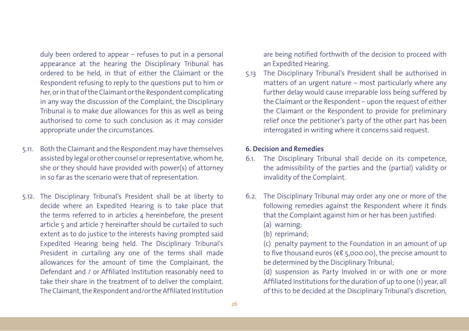duly been ordered to appear – refuses to put in a personal appearance at the hearing the Disciplinary Tribunal has ordered to be held, in that of either the Claimant or the Respondent refusing to reply to the questions put to him or her, or in that of the Claimant or the Respondent complicating in any way the discussion of the Complaint, the Disciplinary Tribunal is to make due allowances for this as well as being authorised to come to such conclusion as it may consider appropriate under the circumstances.

- 5.11. Both the Claimant and the Respondent may have themselves assisted by legal or other counsel or representative, whom he, she or they should have provided with power(s) of attorney in so far as the scenario were that of representation.
- 5.12. The Disciplinary Tribunal's President shall be at liberty to decide where an Expedited Hearing is to take place that the terms referred to in articles 4 hereinbefore, the present article 5 and article 7 hereinafter should be curtailed to such extent as to do justice to the interests having prompted said Expedited Hearing being held. The Disciplinary Tribunal's President in curtailing any one of the terms shall made allowances for the amount of time the Complainant, the Defendant and / or Affiliated Institution reasonably need to take their share in the treatment of to deliver the complaint. The Claimant, the Respondent and/or the Affiliated Institution

are being notified forthwith of the decision to proceed with an Expedited Hearing.

5.13 The Disciplinary Tribunal's President shall be authorised in matters of an urgent nature – most particularly where any further delay would cause irreparable loss being suffered by the Claimant or the Respondent – upon the request of either the Claimant or the Respondent to provide for preliminary relief once the petitioner's party of the other part has been interrogated in writing where it concerns said request.

### **6. Decision and Remedies**

- 6.1. The Disciplinary Tribunal shall decide on its competence, the admissibility of the parties and the (partial) validity or invalidity of the Complaint.
- 6.2. The Disciplinary Tribunal may order any one or more of the following remedies against the Respondent where it finds that the Complaint against him or her has been justified: (a) warning;
	- (b) reprimand;

(c) penalty payment to the Foundation in an amount of up to five thousand euros (€€ 5,000.00), the precise amount to be determined by the Disciplinary Tribunal;

(d) suspension as Party Involved in or with one or more Affiliated Institutions for the duration of up to one (1) year, all of this to be decided at the Disciplinary Tribunal's discretion,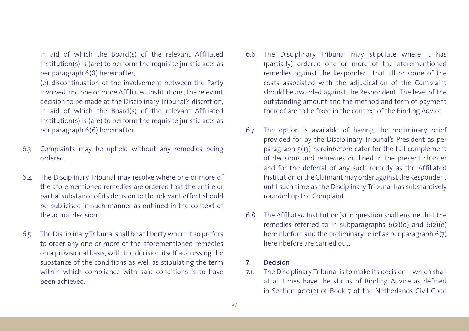in aid of which the Board(s) of the relevant Affiliated Institution(s) is (are) to perform the requisite juristic acts as per paragraph 6(8) hereinafter;

(e) discontinuation of the involvement between the Party Involved and one or more Affiliated Institutions, the relevant decision to be made at the Disciplinary Tribunal's discretion, in aid of which the Board(s) of the relevant Affiliated Institution(s) is (are) to perform the requisite juristic acts as per paragraph 6(6) hereinafter.

- 6.3. Complaints may be upheld without any remedies being ordered.
- 6.4. The Disciplinary Tribunal may resolve where one or more of the aforementioned remedies are ordered that the entire or partial substance of its decision to the relevant effect should be publicised in such manner as outlined in the context of the actual decision.
- 6.5. The Disciplinary Tribunal shall be at liberty where it so prefers to order any one or more of the aforementioned remedies on a provisional basis, with the decision itself addressing the substance of the conditions as well as stipulating the term within which compliance with said conditions is to have been achieved.
- 6.6. The Disciplinary Tribunal may stipulate where it has (partially) ordered one or more of the aforementioned remedies against the Respondent that all or some of the costs associated with the adjudication of the Complaint should be awarded against the Respondent. The level of the outstanding amount and the method and term of payment thereof are to be fixed in the context of the Binding Advice.
- 6.7. The option is available of having the preliminary relief provided for by the Disciplinary Tribunal's President as per paragraph 5(13) hereinbefore cater for the full complement of decisions and remedies outlined in the present chapter and for the deferral of any such remedy as the Affiliated Institution or the Claimant may order against the Respondent until such time as the Disciplinary Tribunal has substantively rounded up the Complaint.
- 6.8. The Affiliated Institution(s) in question shall ensure that the remedies referred to in subparagraphs  $6(2)(d)$  and  $6(2)(e)$ hereinbefore and the preliminary relief as per paragraph 6(7) hereinbefore are carried out.

### **7. Decision**

7.1. The Disciplinary Tribunal is to make its decision – which shall at all times have the status of Binding Advice as defined in Section 900(2) of Book 7 of the Netherlands Civil Code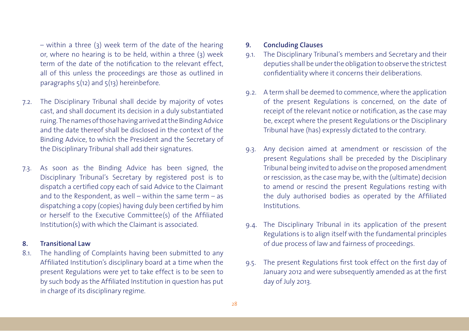– within a three (3) week term of the date of the hearing or, where no hearing is to be held, within a three (3) week term of the date of the notification to the relevant effect, all of this unless the proceedings are those as outlined in paragraphs  $5(12)$  and  $5(13)$  hereinbefore.

- 7.2. The Disciplinary Tribunal shall decide by majority of votes cast, and shall document its decision in a duly substantiated ruing. The names of those having arrived at the Binding Advice and the date thereof shall be disclosed in the context of the Binding Advice, to which the President and the Secretary of the Disciplinary Tribunal shall add their signatures.
- 7.3. As soon as the Binding Advice has been signed, the Disciplinary Tribunal's Secretary by registered post is to dispatch a certified copy each of said Advice to the Claimant and to the Respondent, as well – within the same term – as dispatching a copy (copies) having duly been certified by him or herself to the Executive Committee(s) of the Affiliated Institution(s) with which the Claimant is associated.

### **8. Transitional Law**

8.1. The handling of Complaints having been submitted to any Affiliated Institution's disciplinary board at a time when the present Regulations were yet to take effect is to be seen to by such body as the Affiliated Institution in question has put in charge of its disciplinary regime.

### **9. Concluding Clauses**

- 9.1. The Disciplinary Tribunal's members and Secretary and their deputies shall be under the obligation to observe the strictest confidentiality where it concerns their deliberations.
- 9.2. A term shall be deemed to commence, where the application of the present Regulations is concerned, on the date of receipt of the relevant notice or notification, as the case may be, except where the present Regulations or the Disciplinary Tribunal have (has) expressly dictated to the contrary.
- 9.3. Any decision aimed at amendment or rescission of the present Regulations shall be preceded by the Disciplinary Tribunal being invited to advise on the proposed amendment or rescission, as the case may be, with the (ultimate) decision to amend or rescind the present Regulations resting with the duly authorised bodies as operated by the Affiliated **Institutions**
- 9.4. The Disciplinary Tribunal in its application of the present Regulations is to align itself with the fundamental principles of due process of law and fairness of proceedings.
- 9.5. The present Regulations first took effect on the first day of January 2012 and were subsequently amended as at the first day of July 2013.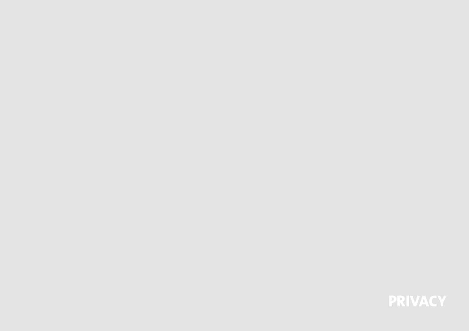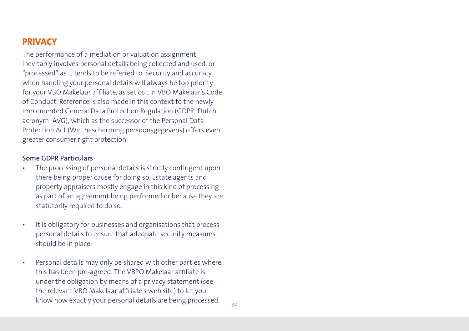# **PRIVACY**

The performance of a mediation or valuation assignment inevitably involves personal details being collected and used, or "processed" as it tends to be referred to. Security and accuracy when handling your personal details will always be top priority for your VBO Makelaar affiliate, as set out in VBO Makelaar's Code of Conduct. Reference is also made in this context to the newly implemented General Data Protection Regulation (GDPR; Dutch acronym: AVG), which as the successor of the Personal Data Protection Act (Wet bescherming persoonsgegevens) offers even greater consumer right protection.

### **Some GDPR Particulars**

- The processing of personal details is strictly contingent upon there being proper cause for doing so. Estate agents and property appraisers mostly engage in this kind of processing as part of an agreement being performed or because they are statutorily required to do so.
- It is obligatory for businesses and organisations that process personal details to ensure that adequate security measures should be in place.
- Personal details may only be shared with other parties where this has been pre-agreed. The VBPO Makelaar affiliate is under the obligation by means of a privacy statement (see the relevant VBO Makelaar affiliate's web site) to let you know how exactly your personal details are being processed.